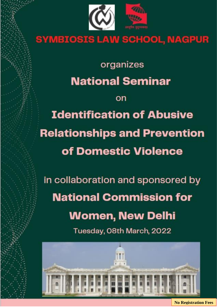

# **SYMBIOSIS LAW SCHOOL, NAGPUR**

organizes **National Seminar** 

**Identification of Abusive Relationships and Prevention** of Domestic Violence

on

in collaboration and sponsored by **National Commission for Women, New Delhi** 

Tuesday, O8th March, 2022



**No Registration Fees**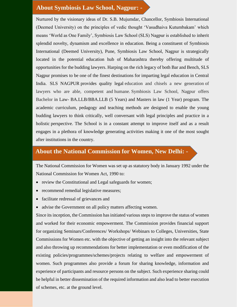# **About Symbiosis Law School, Nagpur: -**

Nurtured by the visionary ideas of Dr. S.B. Mujumdar, Chancellor, Symbiosis International (Deemed University) on the principles of vedic thought 'Vasudhaiva Kutumbakam' which means 'World as One Family', Symbiosis Law School (SLS) Nagpur is established to inherit splendid novelty, dynamism and excellence in education. Being a constituent of Symbiosis International (Deemed University), Pune, Symbiosis Law School, Nagpur is strategically located in the potential education hub of Maharashtra thereby offering multitude of opportunities for the budding lawyers. Harping on the rich legacy of both Bar and Bench, SLS Nagpur promises to be one of the finest destinations for imparting legal education in Central India. SLS NAGPUR provides quality legal education and chisels a new generation of lawyers who are able, competent and humane. Symbiosis Law School, Nagpur offers Bachelor in Law- BA.LLB/BBA.LLB (5 Years) and Masters in law (1 Year) program. The academic curriculum, pedagogy and teaching methods are designed to enable the young budding lawyers to think critically, well conversant with legal principles and practice in a holistic perspective. The School is in a constant attempt to improve itself and as a result engages in a plethora of knowledge generating activities making it one of the most sought after institutions in the country.

# **About the National Commission for Women, New Delhi: -**

The National Commission for Women was set up as statutory body in January 1992 under the National Commission for Women Act, 1990 to:

- review the Constitutional and Legal safeguards for women;
- recommend remedial legislative measures;
- facilitate redressal of grievances and
- advise the Government on all policy matters affecting women.

Since its inception, the Commission has initiated various steps to improve the status of women and worked for their economic empowerment. The Commission provides financial support for organizing Seminars/Conferences/ Workshops/ Webinars to Colleges, Universities, State Commissions for Women etc. with the objective of getting an insight into the relevant subject and also throwing up recommendations for better implementation or even modification of the existing policies/programmes/schemes/projects relating to welfare and empowerment of women. Such programmes also provide a forum for sharing knowledge, information and experience of participants and resource persons on the subject. Such experience sharing could be helpful in better dissemination of the required information and also lead to better execution of schemes, etc. at the ground level.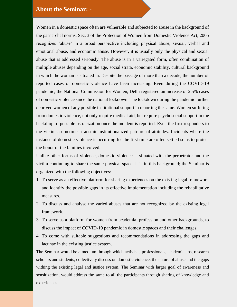# **About the Seminar: -**

Women in a domestic space often are vulnerable and subjected to abuse in the background of the patriarchal norms. Sec. 3 of the Protection of Women from Domestic Violence Act, 2005 recognizes 'abuse' in a broad perspective including physical abuse, sexual, verbal and emotional abuse, and economic abuse. However, it is usually only the physical and sexual abuse that is addressed seriously. The abuse is in a variegated form, often combination of multiple abuses depending on the age, social strata, economic stability, cultural background in which the woman is situated in. Despite the passage of more than a decade, the number of reported cases of domestic violence have been increasing. Even during the COVID-19 pandemic, the National Commission for Women, Delhi registered an increase of 2.5% cases of domestic violence since the national lockdown. The lockdown during the pandemic further deprived women of any possible institutional support in reporting the same. Women suffering from domestic violence, not only require medical aid, but require psychosocial support in the backdrop of possible ostracization once the incident is reported. Even the first responders to the victims sometimes transmit institutionalized patriarchal attitudes. Incidents where the instance of domestic violence is occurring for the first time are often settled so as to protect the honor of the families involved.

Unlike other forms of violence, domestic violence is situated with the perpetrator and the victim continuing to share the same physical space. It is in this background; the Seminar is organized with the following objectives:

- 1. To serve as an effective platform for sharing experiences on the existing legal framework and identify the possible gaps in its effective implementation including the rehabilitative measures.
- 2. To discuss and analyse the varied abuses that are not recognized by the existing legal framework.
- 3. To serve as a platform for women from academia, profession and other backgrounds, to discuss the impact of COVID-19 pandemic in domestic spaces and their challenges.
- 4. To come with suitable suggestions and recommendations in addressing the gaps and lacunae in the existing justice system.

The Seminar would be a medium through which activists, professionals, academicians, research scholars and students, collectively discuss on domestic violence, the nature of abuse and the gaps withing the existing legal and justice system. The Seminar with larger goal of awareness and sensitization, would address the same to all the participants through sharing of knowledge and experiences.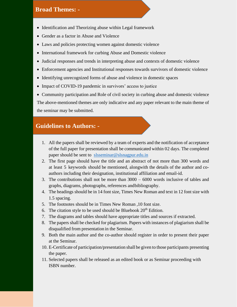#### **Broad Themes: -**

- Identification and Theorizing abuse within Legal framework
- Gender as a factor in Abuse and Violence
- Laws and policies protecting women against domestic violence
- International framework for curbing Abuse and Domestic violence
- Judicial responses and trends in interpreting abuse and contexts of domestic violence
- Enforcement agencies and Institutional responses towards survivors of domestic violence
- Identifying unrecognized forms of abuse and violence in domestic spaces
- Impact of COVID-19 pandemic in survivors' access to justice

• Community participation and Role of civil society in curbing abuse and domestic violence The above-mentioned themes are only indicative and any paper relevant to the main theme of the seminar may be submitted.

## **Guidelines to Authors: -**

- 1. All the papers shall be reviewed by a team of experts and the notification of acceptance of the full paper for presentation shall be communicated within 02 days. The completed paper should be sent to [slsseminar@slsnagpur.edu.in](about:blank)
- 2. The first page should have the title and an abstract of not more than 300 words and at least 5 keywords should be mentioned, alongwith the details of the author and coauthors including their designation, institutional affiliation and email-id.
- 3. The contributions shall not be more than 3000 6000 words inclusive of tables and graphs, diagrams, photographs, references andbibliography.
- 4. The headings should be in 14 font size, Times New Roman and text in 12 font size with 1.5 spacing.
- 5. The footnotes should be in Times New Roman ,10 font size.
- 6. The citation style to be used should be Bluebook  $20<sup>th</sup>$  Edition.
- 7. The diagrams and tables should have appropriate titles and sources if extracted.
- 8. The papers shall be checked for plagiarism. Papers with instances of plagiarism shall be disqualified from presentation in the Seminar.
- 9. Both the main author and the co-author should register in order to present their paper at the Seminar.
- 10. E-Certificate of participation/presentation shall be given to those participants presenting the paper.
- 11. Selected papers shall be released as an edited book or as Seminar proceeding with ISBN number.